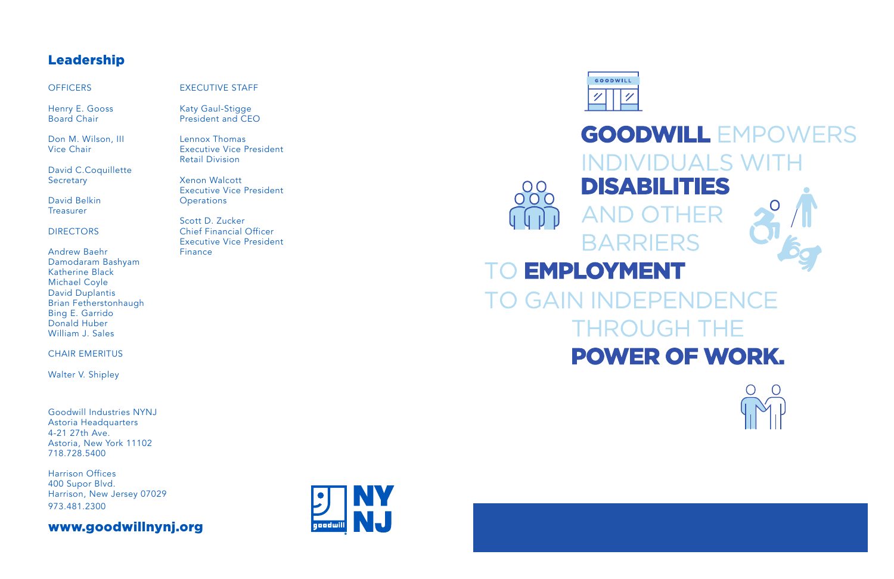Goodwill Industries NYNJ Astoria Headquarters 4-21 27th Ave. Astoria, New York 11102 718.728.5400

Harrison Offices 400 Supor Blvd. Harrison, New Jersey 07029 973.481.2300

www.goodwillnynj.org





# **GOODWILL EMPOWERS INDIVIDUALS WITH DISABILITIES** 00 AND. **BARRIERS TO EMPLOYMENT TO GAIN INDEPENDENCE THROUGH THE POWER OF WORK.**

# Leadership

#### **OFFICERS**

Henry E. Gooss Board Chair

Don M. Wilson, III Vice Chair

David C.Coquillette Secretary

David Belkin Treasurer

#### **DIRECTORS**

Andrew Baehr Damodaram Bashyam Katherine Black Michael Coyle David Duplantis Brian Fetherstonhaugh Bing E. Garrido Donald Huber William J. Sales

#### CHAIR EMERITUS

Walter V. Shipley

EXECUTIVE STAFF

Katy Gaul-Stigge President and CEO

Lennox Thomas

Executive Vice President

Retail Division

Xenon Walcott

Executive Vice President

Scott D. Zucker

**Operations** 

Chief Financial Officer Executive Vice President

Finance